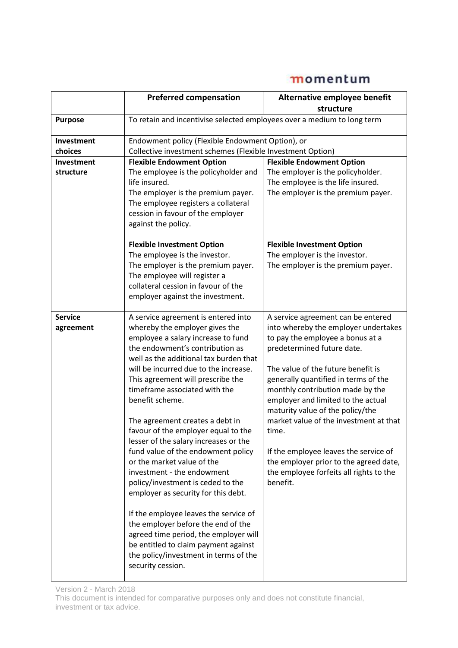|                                | <b>Preferred compensation</b>                                                                                                                                                                                                                                                                                                                                                                                                                                                                                                                                                                                                                                                                                                                                                                                                                             | Alternative employee benefit<br>structure                                                                                                                                                                                                                                                                                                                                                                                                                                                                                             |
|--------------------------------|-----------------------------------------------------------------------------------------------------------------------------------------------------------------------------------------------------------------------------------------------------------------------------------------------------------------------------------------------------------------------------------------------------------------------------------------------------------------------------------------------------------------------------------------------------------------------------------------------------------------------------------------------------------------------------------------------------------------------------------------------------------------------------------------------------------------------------------------------------------|---------------------------------------------------------------------------------------------------------------------------------------------------------------------------------------------------------------------------------------------------------------------------------------------------------------------------------------------------------------------------------------------------------------------------------------------------------------------------------------------------------------------------------------|
| <b>Purpose</b>                 | To retain and incentivise selected employees over a medium to long term                                                                                                                                                                                                                                                                                                                                                                                                                                                                                                                                                                                                                                                                                                                                                                                   |                                                                                                                                                                                                                                                                                                                                                                                                                                                                                                                                       |
| Investment<br>choices          | Endowment policy (Flexible Endowment Option), or<br>Collective investment schemes (Flexible Investment Option)                                                                                                                                                                                                                                                                                                                                                                                                                                                                                                                                                                                                                                                                                                                                            |                                                                                                                                                                                                                                                                                                                                                                                                                                                                                                                                       |
| <b>Investment</b><br>structure | <b>Flexible Endowment Option</b><br>The employee is the policyholder and<br>life insured.<br>The employer is the premium payer.<br>The employee registers a collateral<br>cession in favour of the employer<br>against the policy.<br><b>Flexible Investment Option</b><br>The employee is the investor.<br>The employer is the premium payer.<br>The employee will register a<br>collateral cession in favour of the<br>employer against the investment.                                                                                                                                                                                                                                                                                                                                                                                                 | <b>Flexible Endowment Option</b><br>The employer is the policyholder.<br>The employee is the life insured.<br>The employer is the premium payer.<br><b>Flexible Investment Option</b><br>The employer is the investor.<br>The employer is the premium payer.                                                                                                                                                                                                                                                                          |
| <b>Service</b><br>agreement    | A service agreement is entered into<br>whereby the employer gives the<br>employee a salary increase to fund<br>the endowment's contribution as<br>well as the additional tax burden that<br>will be incurred due to the increase.<br>This agreement will prescribe the<br>timeframe associated with the<br>benefit scheme.<br>The agreement creates a debt in<br>favour of the employer equal to the<br>lesser of the salary increases or the<br>fund value of the endowment policy<br>or the market value of the<br>investment - the endowment<br>policy/investment is ceded to the<br>employer as security for this debt.<br>If the employee leaves the service of<br>the employer before the end of the<br>agreed time period, the employer will<br>be entitled to claim payment against<br>the policy/investment in terms of the<br>security cession. | A service agreement can be entered<br>into whereby the employer undertakes<br>to pay the employee a bonus at a<br>predetermined future date.<br>The value of the future benefit is<br>generally quantified in terms of the<br>monthly contribution made by the<br>employer and limited to the actual<br>maturity value of the policy/the<br>market value of the investment at that<br>time.<br>If the employee leaves the service of<br>the employer prior to the agreed date,<br>the employee forfeits all rights to the<br>benefit. |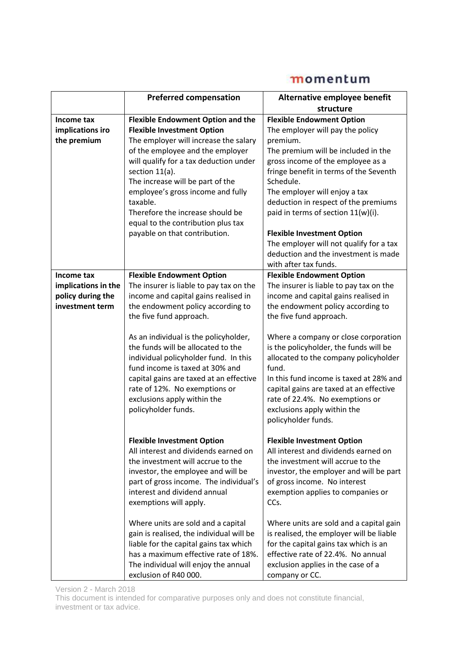|                                                                           | <b>Preferred compensation</b>                                                                                                                                                                                                                                                                                                                                                                                          | Alternative employee benefit                                                                                                                                                                                                                                                                                                                                            |
|---------------------------------------------------------------------------|------------------------------------------------------------------------------------------------------------------------------------------------------------------------------------------------------------------------------------------------------------------------------------------------------------------------------------------------------------------------------------------------------------------------|-------------------------------------------------------------------------------------------------------------------------------------------------------------------------------------------------------------------------------------------------------------------------------------------------------------------------------------------------------------------------|
|                                                                           |                                                                                                                                                                                                                                                                                                                                                                                                                        | structure                                                                                                                                                                                                                                                                                                                                                               |
| Income tax<br>implications iro<br>the premium                             | <b>Flexible Endowment Option and the</b><br><b>Flexible Investment Option</b><br>The employer will increase the salary<br>of the employee and the employer<br>will qualify for a tax deduction under<br>section 11(a).<br>The increase will be part of the<br>employee's gross income and fully<br>taxable.<br>Therefore the increase should be<br>equal to the contribution plus tax<br>payable on that contribution. | <b>Flexible Endowment Option</b><br>The employer will pay the policy<br>premium.<br>The premium will be included in the<br>gross income of the employee as a<br>fringe benefit in terms of the Seventh<br>Schedule.<br>The employer will enjoy a tax<br>deduction in respect of the premiums<br>paid in terms of section 11(w)(i).<br><b>Flexible Investment Option</b> |
|                                                                           |                                                                                                                                                                                                                                                                                                                                                                                                                        | The employer will not qualify for a tax<br>deduction and the investment is made                                                                                                                                                                                                                                                                                         |
| Income tax<br>implications in the<br>policy during the<br>investment term | <b>Flexible Endowment Option</b><br>The insurer is liable to pay tax on the<br>income and capital gains realised in<br>the endowment policy according to<br>the five fund approach.                                                                                                                                                                                                                                    | with after tax funds.<br><b>Flexible Endowment Option</b><br>The insurer is liable to pay tax on the<br>income and capital gains realised in<br>the endowment policy according to<br>the five fund approach.                                                                                                                                                            |
|                                                                           | As an individual is the policyholder,<br>the funds will be allocated to the<br>individual policyholder fund. In this<br>fund income is taxed at 30% and<br>capital gains are taxed at an effective<br>rate of 12%. No exemptions or<br>exclusions apply within the<br>policyholder funds.                                                                                                                              | Where a company or close corporation<br>is the policyholder, the funds will be<br>allocated to the company policyholder<br>fund.<br>In this fund income is taxed at 28% and<br>capital gains are taxed at an effective<br>rate of 22.4%. No exemptions or<br>exclusions apply within the<br>policyholder funds.                                                         |
|                                                                           | <b>Flexible Investment Option</b><br>All interest and dividends earned on<br>the investment will accrue to the<br>investor, the employee and will be<br>part of gross income. The individual's<br>interest and dividend annual<br>exemptions will apply.                                                                                                                                                               | <b>Flexible Investment Option</b><br>All interest and dividends earned on<br>the investment will accrue to the<br>investor, the employer and will be part<br>of gross income. No interest<br>exemption applies to companies or<br>CCs.                                                                                                                                  |
|                                                                           | Where units are sold and a capital<br>gain is realised, the individual will be<br>liable for the capital gains tax which<br>has a maximum effective rate of 18%.<br>The individual will enjoy the annual<br>exclusion of R40 000.                                                                                                                                                                                      | Where units are sold and a capital gain<br>is realised, the employer will be liable<br>for the capital gains tax which is an<br>effective rate of 22.4%. No annual<br>exclusion applies in the case of a<br>company or CC.                                                                                                                                              |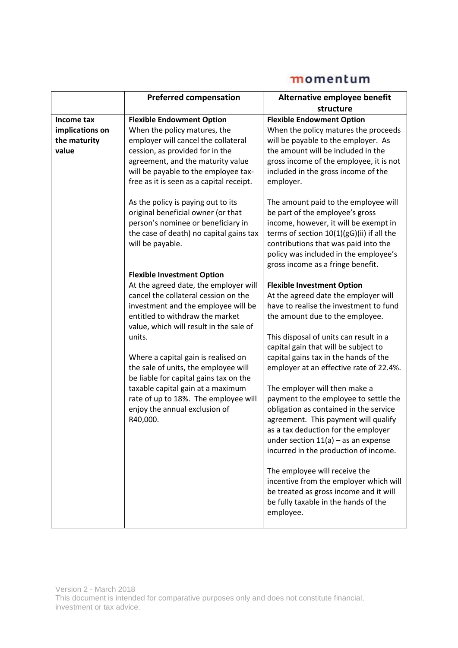|                 | <b>Preferred compensation</b>                                                                                                                                                 | Alternative employee benefit                                                                                                                                                                                                                                                                                                                                                                           |
|-----------------|-------------------------------------------------------------------------------------------------------------------------------------------------------------------------------|--------------------------------------------------------------------------------------------------------------------------------------------------------------------------------------------------------------------------------------------------------------------------------------------------------------------------------------------------------------------------------------------------------|
|                 |                                                                                                                                                                               | structure                                                                                                                                                                                                                                                                                                                                                                                              |
| Income tax      | <b>Flexible Endowment Option</b>                                                                                                                                              | <b>Flexible Endowment Option</b>                                                                                                                                                                                                                                                                                                                                                                       |
| implications on | When the policy matures, the                                                                                                                                                  | When the policy matures the proceeds                                                                                                                                                                                                                                                                                                                                                                   |
| the maturity    | employer will cancel the collateral                                                                                                                                           | will be payable to the employer. As                                                                                                                                                                                                                                                                                                                                                                    |
| value           | cession, as provided for in the                                                                                                                                               | the amount will be included in the                                                                                                                                                                                                                                                                                                                                                                     |
|                 | agreement, and the maturity value                                                                                                                                             | gross income of the employee, it is not                                                                                                                                                                                                                                                                                                                                                                |
|                 | will be payable to the employee tax-<br>free as it is seen as a capital receipt.                                                                                              | included in the gross income of the<br>employer.                                                                                                                                                                                                                                                                                                                                                       |
|                 |                                                                                                                                                                               |                                                                                                                                                                                                                                                                                                                                                                                                        |
|                 | As the policy is paying out to its<br>original beneficial owner (or that<br>person's nominee or beneficiary in<br>the case of death) no capital gains tax<br>will be payable. | The amount paid to the employee will<br>be part of the employee's gross<br>income, however, it will be exempt in<br>terms of section $10(1)(gG)(ii)$ if all the<br>contributions that was paid into the<br>policy was included in the employee's<br>gross income as a fringe benefit.                                                                                                                  |
|                 | <b>Flexible Investment Option</b>                                                                                                                                             |                                                                                                                                                                                                                                                                                                                                                                                                        |
|                 | At the agreed date, the employer will                                                                                                                                         | <b>Flexible Investment Option</b>                                                                                                                                                                                                                                                                                                                                                                      |
|                 | cancel the collateral cession on the                                                                                                                                          | At the agreed date the employer will                                                                                                                                                                                                                                                                                                                                                                   |
|                 | investment and the employee will be                                                                                                                                           | have to realise the investment to fund                                                                                                                                                                                                                                                                                                                                                                 |
|                 | entitled to withdraw the market<br>value, which will result in the sale of                                                                                                    | the amount due to the employee.                                                                                                                                                                                                                                                                                                                                                                        |
|                 | units.                                                                                                                                                                        | This disposal of units can result in a                                                                                                                                                                                                                                                                                                                                                                 |
|                 |                                                                                                                                                                               | capital gain that will be subject to                                                                                                                                                                                                                                                                                                                                                                   |
|                 | Where a capital gain is realised on                                                                                                                                           | capital gains tax in the hands of the                                                                                                                                                                                                                                                                                                                                                                  |
|                 | the sale of units, the employee will<br>be liable for capital gains tax on the                                                                                                | employer at an effective rate of 22.4%.                                                                                                                                                                                                                                                                                                                                                                |
|                 | taxable capital gain at a maximum<br>rate of up to 18%. The employee will<br>enjoy the annual exclusion of<br>R40,000.                                                        | The employer will then make a<br>payment to the employee to settle the<br>obligation as contained in the service<br>agreement. This payment will qualify<br>as a tax deduction for the employer<br>under section $11(a)$ – as an expense<br>incurred in the production of income.<br>The employee will receive the<br>incentive from the employer which will<br>be treated as gross income and it will |
|                 |                                                                                                                                                                               | be fully taxable in the hands of the<br>employee.                                                                                                                                                                                                                                                                                                                                                      |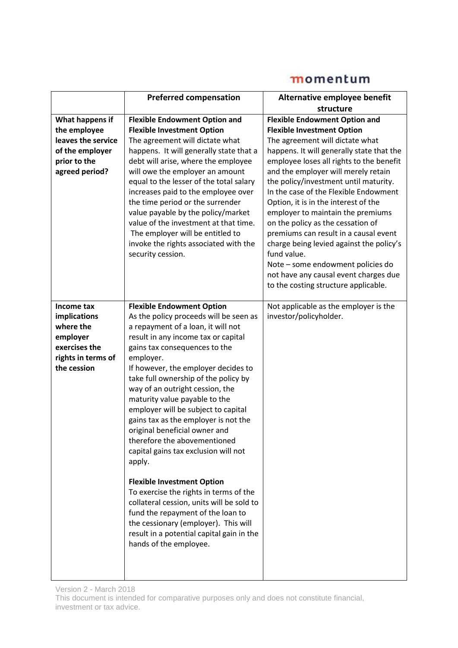|                    | <b>Preferred compensation</b>                                               | Alternative employee benefit                                           |
|--------------------|-----------------------------------------------------------------------------|------------------------------------------------------------------------|
|                    |                                                                             | structure                                                              |
| What happens if    | <b>Flexible Endowment Option and</b>                                        | <b>Flexible Endowment Option and</b>                                   |
| the employee       | <b>Flexible Investment Option</b>                                           | <b>Flexible Investment Option</b>                                      |
| leaves the service | The agreement will dictate what                                             | The agreement will dictate what                                        |
| of the employer    | happens. It will generally state that a                                     | happens. It will generally state that the                              |
| prior to the       | debt will arise, where the employee                                         | employee loses all rights to the benefit                               |
| agreed period?     | will owe the employer an amount                                             | and the employer will merely retain                                    |
|                    | equal to the lesser of the total salary                                     | the policy/investment until maturity.                                  |
|                    | increases paid to the employee over                                         | In the case of the Flexible Endowment                                  |
|                    | the time period or the surrender                                            | Option, it is in the interest of the                                   |
|                    | value payable by the policy/market<br>value of the investment at that time. | employer to maintain the premiums<br>on the policy as the cessation of |
|                    | The employer will be entitled to                                            | premiums can result in a causal event                                  |
|                    | invoke the rights associated with the                                       | charge being levied against the policy's                               |
|                    | security cession.                                                           | fund value.                                                            |
|                    |                                                                             | Note - some endowment policies do                                      |
|                    |                                                                             | not have any causal event charges due                                  |
|                    |                                                                             | to the costing structure applicable.                                   |
|                    |                                                                             |                                                                        |
| Income tax         | <b>Flexible Endowment Option</b>                                            | Not applicable as the employer is the                                  |
| implications       | As the policy proceeds will be seen as                                      | investor/policyholder.                                                 |
| where the          | a repayment of a loan, it will not                                          |                                                                        |
| employer           | result in any income tax or capital                                         |                                                                        |
| exercises the      | gains tax consequences to the                                               |                                                                        |
| rights in terms of | employer.                                                                   |                                                                        |
| the cession        | If however, the employer decides to                                         |                                                                        |
|                    | take full ownership of the policy by                                        |                                                                        |
|                    | way of an outright cession, the                                             |                                                                        |
|                    | maturity value payable to the                                               |                                                                        |
|                    | employer will be subject to capital                                         |                                                                        |
|                    | gains tax as the employer is not the                                        |                                                                        |
|                    | original beneficial owner and<br>therefore the abovementioned               |                                                                        |
|                    |                                                                             |                                                                        |
|                    | capital gains tax exclusion will not<br>apply.                              |                                                                        |
|                    |                                                                             |                                                                        |
|                    | <b>Flexible Investment Option</b>                                           |                                                                        |
|                    | To exercise the rights in terms of the                                      |                                                                        |
|                    | collateral cession, units will be sold to                                   |                                                                        |
|                    | fund the repayment of the loan to                                           |                                                                        |
|                    | the cessionary (employer). This will                                        |                                                                        |
|                    | result in a potential capital gain in the                                   |                                                                        |
|                    | hands of the employee.                                                      |                                                                        |
|                    |                                                                             |                                                                        |
|                    |                                                                             |                                                                        |
|                    |                                                                             |                                                                        |

Version 2 - March 2018

This document is intended for comparative purposes only and does not constitute financial, investment or tax advice.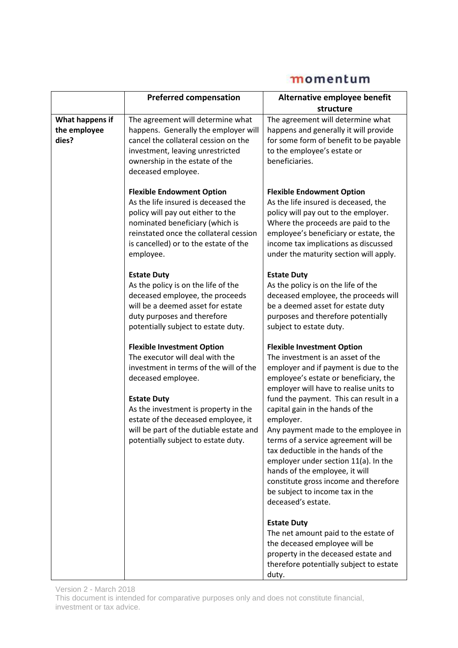|                                          | <b>Preferred compensation</b>                                                                                                                                                                                                                                                                                               | Alternative employee benefit                                                                                                                                                                                                                                                                                                                                                                                                                                                                                                                                                                   |
|------------------------------------------|-----------------------------------------------------------------------------------------------------------------------------------------------------------------------------------------------------------------------------------------------------------------------------------------------------------------------------|------------------------------------------------------------------------------------------------------------------------------------------------------------------------------------------------------------------------------------------------------------------------------------------------------------------------------------------------------------------------------------------------------------------------------------------------------------------------------------------------------------------------------------------------------------------------------------------------|
|                                          |                                                                                                                                                                                                                                                                                                                             | structure                                                                                                                                                                                                                                                                                                                                                                                                                                                                                                                                                                                      |
| What happens if<br>the employee<br>dies? | The agreement will determine what<br>happens. Generally the employer will<br>cancel the collateral cession on the<br>investment, leaving unrestricted<br>ownership in the estate of the<br>deceased employee.                                                                                                               | The agreement will determine what<br>happens and generally it will provide<br>for some form of benefit to be payable<br>to the employee's estate or<br>beneficiaries.                                                                                                                                                                                                                                                                                                                                                                                                                          |
|                                          | <b>Flexible Endowment Option</b><br>As the life insured is deceased the<br>policy will pay out either to the<br>nominated beneficiary (which is<br>reinstated once the collateral cession<br>is cancelled) or to the estate of the<br>employee.                                                                             | <b>Flexible Endowment Option</b><br>As the life insured is deceased, the<br>policy will pay out to the employer.<br>Where the proceeds are paid to the<br>employee's beneficiary or estate, the<br>income tax implications as discussed<br>under the maturity section will apply.                                                                                                                                                                                                                                                                                                              |
|                                          | <b>Estate Duty</b><br>As the policy is on the life of the<br>deceased employee, the proceeds<br>will be a deemed asset for estate<br>duty purposes and therefore<br>potentially subject to estate duty.                                                                                                                     | <b>Estate Duty</b><br>As the policy is on the life of the<br>deceased employee, the proceeds will<br>be a deemed asset for estate duty<br>purposes and therefore potentially<br>subject to estate duty.                                                                                                                                                                                                                                                                                                                                                                                        |
|                                          | <b>Flexible Investment Option</b><br>The executor will deal with the<br>investment in terms of the will of the<br>deceased employee.<br><b>Estate Duty</b><br>As the investment is property in the<br>estate of the deceased employee, it<br>will be part of the dutiable estate and<br>potentially subject to estate duty. | <b>Flexible Investment Option</b><br>The investment is an asset of the<br>employer and if payment is due to the<br>employee's estate or beneficiary, the<br>employer will have to realise units to<br>fund the payment. This can result in a<br>capital gain in the hands of the<br>employer.<br>Any payment made to the employee in<br>terms of a service agreement will be<br>tax deductible in the hands of the<br>employer under section 11(a). In the<br>hands of the employee, it will<br>constitute gross income and therefore<br>be subject to income tax in the<br>deceased's estate. |
|                                          |                                                                                                                                                                                                                                                                                                                             | <b>Estate Duty</b><br>The net amount paid to the estate of<br>the deceased employee will be<br>property in the deceased estate and<br>therefore potentially subject to estate<br>duty.                                                                                                                                                                                                                                                                                                                                                                                                         |

Version 2 - March 2018 This document is intended for comparative purposes only and does not constitute financial, investment or tax advice.